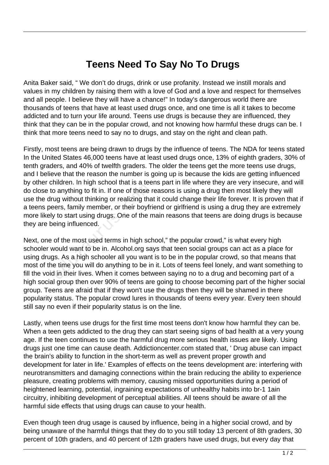## **Teens Need To Say No To Drugs**

Anita Baker said, " We don't do drugs, drink or use profanity. Instead we instill morals and values in my children by raising them with a love of God and a love and respect for themselves and all people. I believe they will have a chance!" In today's dangerous world there are thousands of teens that have at least used drugs once, and one time is all it takes to become addicted and to turn your life around. Teens use drugs is because they are influenced, they think that they can be in the popular crowd, and not knowing how harmful these drugs can be. I think that more teens need to say no to drugs, and stay on the right and clean path.

Firstly, most teens are being drawn to drugs by the influence of teens. The NDA for teens stated In the United States 46,000 teens have at least used drugs once, 13% of eighth graders, 30% of tenth graders, and 40% of twelfth graders. The older the teens get the more teens use drugs, and I believe that the reason the number is going up is because the kids are getting influenced by other children. In high school that is a teens part in life where they are very insecure, and will do close to anything to fit in. If one of those reasons is using a drug then most likely they will use the drug without thinking or realizing that it could change their life forever. It is proven that if a teens peers, family member, or their boyfriend or girlfriend is using a drug they are extremely more likely to start using drugs. One of the main reasons that teens are doing drugs is because they are being influenced.

Next, one of the most used terms in high school," the popular crowd," is what every high schooler would want to be in. Alcohol.org says that teen social groups can act as a place for using drugs. As a high schooler all you want is to be in the popular crowd, so that means that most of the time you will do anything to be in it. Lots of teens feel lonely, and want something to fill the void in their lives. When it comes between saying no to a drug and becoming part of a high social group then over 90% of teens are going to choose becoming part of the higher social group. Teens are afraid that if they won't use the drugs then they will be shamed in there popularity status. The popular crowd lures in thousands of teens every year. Every teen should still say no even if their popularity status is on the line. is anything to fit in. If one of those r<br>ug without thinking or realizing tha<br>ers, family member, or their boyfrice<br>to start using drugs. One of the n<br>eing influenced.<br>of the most used terms in high school<br>of the most used

Lastly, when teens use drugs for the first time most teens don't know how harmful they can be. When a teen gets addicted to the drug they can start seeing signs of bad health at a very young age. If the teen continues to use the harmful drug more serious health issues are likely. Using drugs just one time can cause death. Addictioncenter.com stated that, ' Drug abuse can impact the brain's ability to function in the short-term as well as prevent proper growth and development for later in life.' Examples of effects on the teens development are: interfering with neurotransmitters and damaging connections within the brain reducing the ability to experience pleasure, creating problems with memory, causing missed opportunities during a period of heightened learning, potential, ingraining expectations of unhealthy habits into br-1 1ain circuitry, inhibiting development of perceptual abilities. All teens should be aware of all the harmful side effects that using drugs can cause to your health.

Even though teen drug usage is caused by influence, being in a higher social crowd, and by being unaware of the harmful things that they do to you still today 13 percent of 8th graders, 30 percent of 10th graders, and 40 percent of 12th graders have used drugs, but every day that